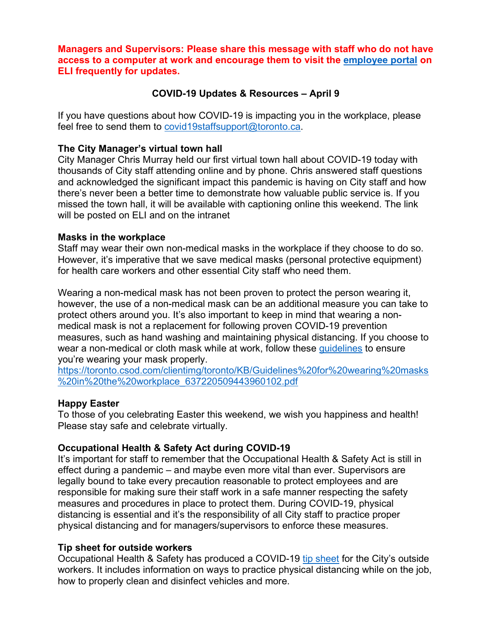**Managers and Supervisors: Please share this message with staff who do not have access to a computer at work and encourage them to visit the [employee portal](https://toronto.csod.com/LMS/catalog/Welcome.aspx?tab_page_id=-67&tab_id=-1) on ELI frequently for updates.**

### **COVID-19 Updates & Resources – April 9**

If you have questions about how COVID-19 is impacting you in the workplace, please feel free to send them to [covid19staffsupport@toronto.ca.](mailto:covid19staffsupport@toronto.ca)

### **The City Manager's virtual town hall**

City Manager Chris Murray held our first virtual town hall about COVID-19 today with thousands of City staff attending online and by phone. Chris answered staff questions and acknowledged the significant impact this pandemic is having on City staff and how there's never been a better time to demonstrate how valuable public service is. If you missed the town hall, it will be available with captioning online this weekend. The link will be posted on ELI and on the intranet

### **Masks in the workplace**

Staff may wear their own non-medical masks in the workplace if they choose to do so. However, it's imperative that we save medical masks (personal protective equipment) for health care workers and other essential City staff who need them.

Wearing a non-medical mask has not been proven to protect the person wearing it, however, the use of a non-medical mask can be an additional measure you can take to protect others around you. It's also important to keep in mind that wearing a nonmedical mask is not a replacement for following proven COVID-19 prevention measures, such as hand washing and maintaining physical distancing. If you choose to wear a non-medical or cloth mask while at work, follow these [guidelines](http://insideto.toronto.ca/coronavirus/files/guidelines-non-medical-masks-workplace.pdf) to ensure you're wearing your mask properly.

[https://toronto.csod.com/clientimg/toronto/KB/Guidelines%20for%20wearing%20masks](https://toronto.csod.com/clientimg/toronto/KB/Guidelines%20for%20wearing%20masks%20in%20the%20workplace_637220509443960102.pdf) [%20in%20the%20workplace\\_637220509443960102.pdf](https://toronto.csod.com/clientimg/toronto/KB/Guidelines%20for%20wearing%20masks%20in%20the%20workplace_637220509443960102.pdf)

### **Happy Easter**

To those of you celebrating Easter this weekend, we wish you happiness and health! Please stay safe and celebrate virtually.

## **Occupational Health & Safety Act during COVID-19**

It's important for staff to remember that the Occupational Health & Safety Act is still in effect during a pandemic – and maybe even more vital than ever. Supervisors are legally bound to take every precaution reasonable to protect employees and are responsible for making sure their staff work in a safe manner respecting the safety measures and procedures in place to protect them. During COVID-19, physical distancing is essential and it's the responsibility of all City staff to practice proper physical distancing and for managers/supervisors to enforce these measures.

### **Tip sheet for outside workers**

Occupational Health & Safety has produced a COVID-19 [tip sheet](http://insideto.toronto.ca/coronavirus/files/tips-outside-workers.pdf) for the City's outside workers. It includes information on ways to practice physical distancing while on the job, how to properly clean and disinfect vehicles and more.